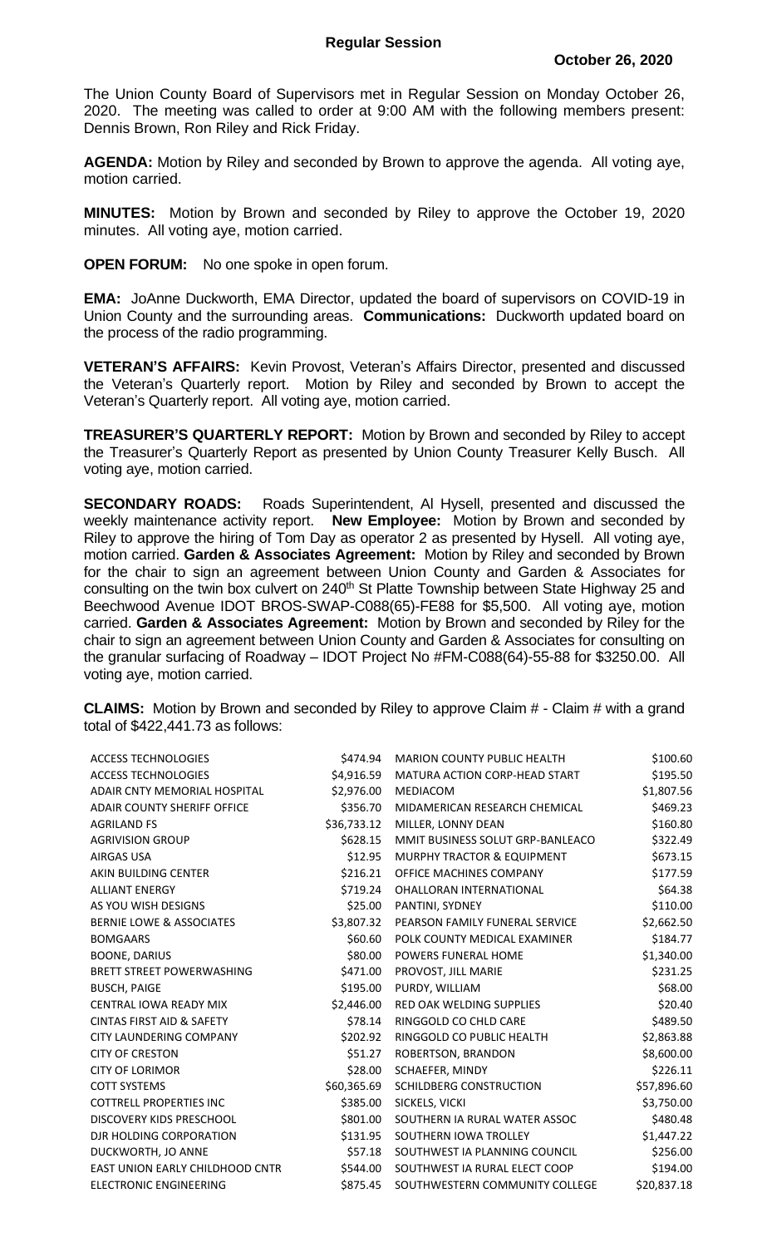The Union County Board of Supervisors met in Regular Session on Monday October 26, 2020. The meeting was called to order at 9:00 AM with the following members present: Dennis Brown, Ron Riley and Rick Friday.

**AGENDA:** Motion by Riley and seconded by Brown to approve the agenda. All voting aye, motion carried.

**MINUTES:** Motion by Brown and seconded by Riley to approve the October 19, 2020 minutes. All voting aye, motion carried.

**OPEN FORUM:** No one spoke in open forum.

**EMA:** JoAnne Duckworth, EMA Director, updated the board of supervisors on COVID-19 in Union County and the surrounding areas. **Communications:** Duckworth updated board on the process of the radio programming.

**VETERAN'S AFFAIRS:** Kevin Provost, Veteran's Affairs Director, presented and discussed the Veteran's Quarterly report. Motion by Riley and seconded by Brown to accept the Veteran's Quarterly report. All voting aye, motion carried.

**TREASURER'S QUARTERLY REPORT:** Motion by Brown and seconded by Riley to accept the Treasurer's Quarterly Report as presented by Union County Treasurer Kelly Busch. All voting aye, motion carried.

**SECONDARY ROADS:** Roads Superintendent, Al Hysell, presented and discussed the weekly maintenance activity report. **New Employee:** Motion by Brown and seconded by Riley to approve the hiring of Tom Day as operator 2 as presented by Hysell. All voting aye, motion carried. **Garden & Associates Agreement:** Motion by Riley and seconded by Brown for the chair to sign an agreement between Union County and Garden & Associates for consulting on the twin box culvert on 240<sup>th</sup> St Platte Township between State Highway 25 and Beechwood Avenue IDOT BROS-SWAP-C088(65)-FE88 for \$5,500. All voting aye, motion carried. **Garden & Associates Agreement:** Motion by Brown and seconded by Riley for the chair to sign an agreement between Union County and Garden & Associates for consulting on the granular surfacing of Roadway – IDOT Project No #FM-C088(64)-55-88 for \$3250.00. All voting aye, motion carried.

**CLAIMS:** Motion by Brown and seconded by Riley to approve Claim # - Claim # with a grand total of \$422,441.73 as follows:

| <b>ACCESS TECHNOLOGIES</b>           | \$474.94    | <b>MARION COUNTY PUBLIC HEALTH</b>    | \$100.60    |
|--------------------------------------|-------------|---------------------------------------|-------------|
| <b>ACCESS TECHNOLOGIES</b>           | \$4,916.59  | MATURA ACTION CORP-HEAD START         | \$195.50    |
| ADAIR CNTY MEMORIAL HOSPITAL         | \$2,976.00  | <b>MEDIACOM</b>                       | \$1,807.56  |
| <b>ADAIR COUNTY SHERIFF OFFICE</b>   | \$356.70    | MIDAMERICAN RESEARCH CHEMICAL         | \$469.23    |
| <b>AGRILAND FS</b>                   | \$36,733.12 | MILLER, LONNY DEAN                    | \$160.80    |
| <b>AGRIVISION GROUP</b>              | \$628.15    | MMIT BUSINESS SOLUT GRP-BANLEACO      | \$322.49    |
| <b>AIRGAS USA</b>                    | \$12.95     | <b>MURPHY TRACTOR &amp; EQUIPMENT</b> | \$673.15    |
| AKIN BUILDING CENTER                 | \$216.21    | OFFICE MACHINES COMPANY               | \$177.59    |
| <b>ALLIANT ENERGY</b>                | \$719.24    | <b>OHALLORAN INTERNATIONAL</b>        | \$64.38     |
| AS YOU WISH DESIGNS                  | \$25.00     | PANTINI, SYDNEY                       | \$110.00    |
| <b>BERNIE LOWE &amp; ASSOCIATES</b>  | \$3,807.32  | PEARSON FAMILY FUNERAL SERVICE        | \$2,662.50  |
| <b>BOMGAARS</b>                      | \$60.60     | POLK COUNTY MEDICAL EXAMINER          | \$184.77    |
| <b>BOONE, DARIUS</b>                 | \$80.00     | POWERS FUNERAL HOME                   | \$1,340.00  |
| <b>BRETT STREET POWERWASHING</b>     | \$471.00    | PROVOST, JILL MARIE                   | \$231.25    |
| <b>BUSCH, PAIGE</b>                  | \$195.00    | PURDY, WILLIAM                        | \$68.00     |
| <b>CENTRAL IOWA READY MIX</b>        | \$2,446.00  | <b>RED OAK WELDING SUPPLIES</b>       | \$20.40     |
| <b>CINTAS FIRST AID &amp; SAFETY</b> | \$78.14     | RINGGOLD CO CHLD CARE                 | \$489.50    |
| CITY LAUNDERING COMPANY              | \$202.92    | RINGGOLD CO PUBLIC HEALTH             | \$2,863.88  |
| <b>CITY OF CRESTON</b>               | \$51.27     | ROBERTSON, BRANDON                    | \$8,600.00  |
| <b>CITY OF LORIMOR</b>               | \$28.00     | SCHAEFER, MINDY                       | \$226.11    |
| <b>COTT SYSTEMS</b>                  | \$60,365.69 | SCHILDBERG CONSTRUCTION               | \$57,896.60 |
| <b>COTTRELL PROPERTIES INC</b>       | \$385.00    | SICKELS, VICKI                        | \$3,750.00  |
| DISCOVERY KIDS PRESCHOOL             | \$801.00    | SOUTHERN IA RURAL WATER ASSOC         | \$480.48    |
| DJR HOLDING CORPORATION              | \$131.95    | SOUTHERN IOWA TROLLEY                 | \$1,447.22  |
| DUCKWORTH, JO ANNE                   | \$57.18     | SOUTHWEST IA PLANNING COUNCIL         | \$256.00    |
| EAST UNION EARLY CHILDHOOD CNTR      | \$544.00    | SOUTHWEST IA RURAL ELECT COOP         | \$194.00    |
| <b>ELECTRONIC ENGINEERING</b>        | \$875.45    | SOUTHWESTERN COMMUNITY COLLEGE        | \$20,837.18 |